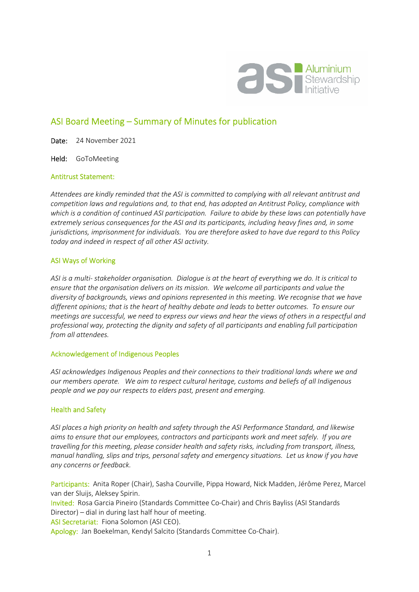

# ASI Board Meeting – Summary of Minutes for publication

Date: 24 November 2021

Held: GoToMeeting

#### Antitrust Statement:

*Attendees are kindly reminded that the ASI is committed to complying with all relevant antitrust and competition laws and regulations and, to that end, has adopted an Antitrust Policy, compliance with which is a condition of continued ASI participation. Failure to abide by these laws can potentially have extremely serious consequences for the ASI and its participants, including heavy fines and, in some jurisdictions, imprisonment for individuals. You are therefore asked to have due regard to this Policy today and indeed in respect of all other ASI activity.* 

#### ASI Ways of Working

*ASI is a multi- stakeholder organisation. Dialogue is at the heart of everything we do. It is critical to ensure that the organisation delivers on its mission. We welcome all participants and value the diversity of backgrounds, views and opinions represented in this meeting. We recognise that we have different opinions; that is the heart of healthy debate and leads to better outcomes. To ensure our meetings are successful, we need to express our views and hear the views of others in a respectful and professional way, protecting the dignity and safety of all participants and enabling full participation from all attendees.* 

#### Acknowledgement of Indigenous Peoples

*ASI acknowledges Indigenous Peoples and their connections to their traditional lands where we and our members operate. We aim to respect cultural heritage, customs and beliefs of all Indigenous people and we pay our respects to elders past, present and emerging.* 

#### Health and Safety

*ASI places a high priority on health and safety through the ASI Performance Standard, and likewise aims to ensure that our employees, contractors and participants work and meet safely. If you are travelling for this meeting, please consider health and safety risks, including from transport, illness, manual handling, slips and trips, personal safety and emergency situations. Let us know if you have any concerns or feedback.* 

Participants: Anita Roper (Chair), Sasha Courville, Pippa Howard, Nick Madden, Jérôme Perez, Marcel van der Sluijs, Aleksey Spirin.

Invited: Rosa Garcia Pineiro (Standards Committee Co-Chair) and Chris Bayliss (ASI Standards Director) – dial in during last half hour of meeting.

ASI Secretariat: Fiona Solomon (ASI CEO).

Apology: Jan Boekelman, Kendyl Salcito (Standards Committee Co-Chair).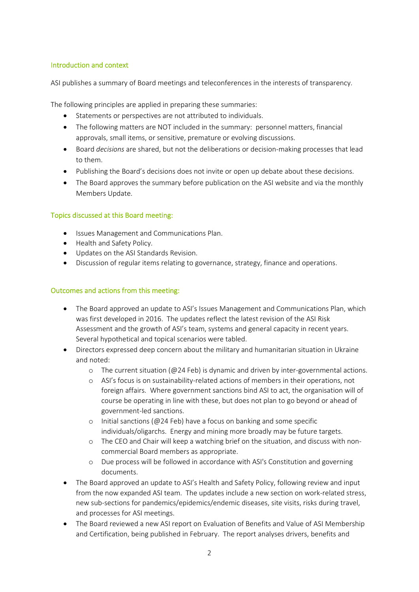### Introduction and context

ASI publishes a summary of Board meetings and teleconferences in the interests of transparency.

The following principles are applied in preparing these summaries:

- Statements or perspectives are not attributed to individuals.
- The following matters are NOT included in the summary: personnel matters, financial approvals, small items, or sensitive, premature or evolving discussions.
- Board *decisions* are shared, but not the deliberations or decision-making processes that lead to them.
- Publishing the Board's decisions does not invite or open up debate about these decisions.
- The Board approves the summary before publication on the ASI website and via the monthly Members Update.

## Topics discussed at this Board meeting:

- **•** Issues Management and Communications Plan.
- Health and Safety Policy.
- Updates on the ASI Standards Revision.
- Discussion of regular items relating to governance, strategy, finance and operations.

## Outcomes and actions from this meeting:

- The Board approved an update to ASI's Issues Management and Communications Plan, which was first developed in 2016. The updates reflect the latest revision of the ASI Risk Assessment and the growth of ASI's team, systems and general capacity in recent years. Several hypothetical and topical scenarios were tabled.
- Directors expressed deep concern about the military and humanitarian situation in Ukraine and noted:
	- o The current situation (@24 Feb) is dynamic and driven by inter-governmental actions.
	- o ASI's focus is on sustainability-related actions of members in their operations, not foreign affairs. Where government sanctions bind ASI to act, the organisation will of course be operating in line with these, but does not plan to go beyond or ahead of government-led sanctions.
	- o Initial sanctions (@24 Feb) have a focus on banking and some specific individuals/oligarchs. Energy and mining more broadly may be future targets.
	- o The CEO and Chair will keep a watching brief on the situation, and discuss with noncommercial Board members as appropriate.
	- o Due process will be followed in accordance with ASI's Constitution and governing documents.
- The Board approved an update to ASI's Health and Safety Policy, following review and input from the now expanded ASI team. The updates include a new section on work-related stress, new sub-sections for pandemics/epidemics/endemic diseases, site visits, risks during travel, and processes for ASI meetings.
- The Board reviewed a new ASI report on Evaluation of Benefits and Value of ASI Membership and Certification, being published in February. The report analyses drivers, benefits and